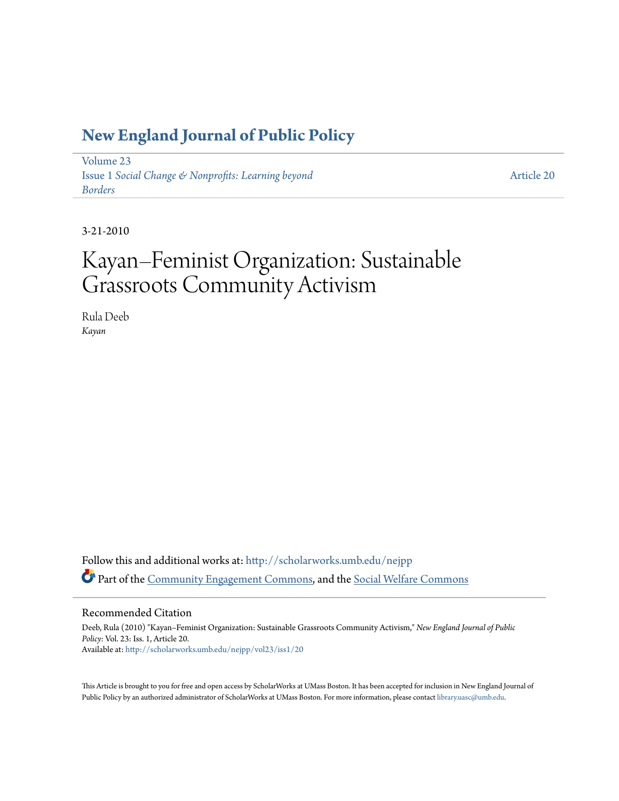### **[New England Journal of Public Policy](http://scholarworks.umb.edu/nejpp?utm_source=scholarworks.umb.edu%2Fnejpp%2Fvol23%2Fiss1%2F20&utm_medium=PDF&utm_campaign=PDFCoverPages)**

[Volume 23](http://scholarworks.umb.edu/nejpp/vol23?utm_source=scholarworks.umb.edu%2Fnejpp%2Fvol23%2Fiss1%2F20&utm_medium=PDF&utm_campaign=PDFCoverPages) Issue 1 *[Social Change & Nonprofits: Learning beyond](http://scholarworks.umb.edu/nejpp/vol23/iss1?utm_source=scholarworks.umb.edu%2Fnejpp%2Fvol23%2Fiss1%2F20&utm_medium=PDF&utm_campaign=PDFCoverPages) [Borders](http://scholarworks.umb.edu/nejpp/vol23/iss1?utm_source=scholarworks.umb.edu%2Fnejpp%2Fvol23%2Fiss1%2F20&utm_medium=PDF&utm_campaign=PDFCoverPages)*

[Article 20](http://scholarworks.umb.edu/nejpp/vol23/iss1/20?utm_source=scholarworks.umb.edu%2Fnejpp%2Fvol23%2Fiss1%2F20&utm_medium=PDF&utm_campaign=PDFCoverPages)

3-21-2010

# Kayan–Feminist Organization: Sustainable Grassroots Community Activism

Rula Deeb *Kayan*

Follow this and additional works at: [http://scholarworks.umb.edu/nejpp](http://scholarworks.umb.edu/nejpp?utm_source=scholarworks.umb.edu%2Fnejpp%2Fvol23%2Fiss1%2F20&utm_medium=PDF&utm_campaign=PDFCoverPages) Part of the [Community Engagement Commons](http://network.bepress.com/hgg/discipline/1028?utm_source=scholarworks.umb.edu%2Fnejpp%2Fvol23%2Fiss1%2F20&utm_medium=PDF&utm_campaign=PDFCoverPages), and the [Social Welfare Commons](http://network.bepress.com/hgg/discipline/401?utm_source=scholarworks.umb.edu%2Fnejpp%2Fvol23%2Fiss1%2F20&utm_medium=PDF&utm_campaign=PDFCoverPages)

#### Recommended Citation

Deeb, Rula (2010) "Kayan–Feminist Organization: Sustainable Grassroots Community Activism," *New England Journal of Public Policy*: Vol. 23: Iss. 1, Article 20. Available at: [http://scholarworks.umb.edu/nejpp/vol23/iss1/20](http://scholarworks.umb.edu/nejpp/vol23/iss1/20?utm_source=scholarworks.umb.edu%2Fnejpp%2Fvol23%2Fiss1%2F20&utm_medium=PDF&utm_campaign=PDFCoverPages)

This Article is brought to you for free and open access by ScholarWorks at UMass Boston. It has been accepted for inclusion in New England Journal of Public Policy by an authorized administrator of ScholarWorks at UMass Boston. For more information, please contact [library.uasc@umb.edu](mailto:library.uasc@umb.edu).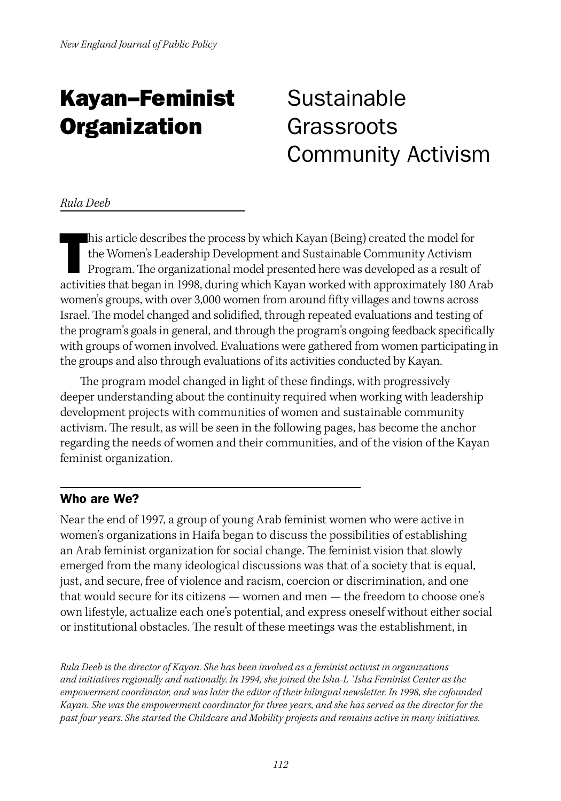## Kayan–Feminist **Organization**

### Sustainable Grassroots Community Activism

#### *Rula Deeb*

his article describes the process by which Kayan (Being) created the model for the Women's Leadership Development and Sustainable Community Activism Program. The organizational model presented here was developed as a resul his article describes the process by which Kayan (Being) created the model for the Women's Leadership Development and Sustainable Community Activism Program. The organizational model presented here was developed as a result of women's groups, with over 3,000 women from around fifty villages and towns across Israel. The model changed and solidified, through repeated evaluations and testing of the program's goals in general, and through the program's ongoing feedback specifically with groups of women involved. Evaluations were gathered from women participating in the groups and also through evaluations of its activities conducted by Kayan.

The program model changed in light of these findings, with progressively deeper understanding about the continuity required when working with leadership development projects with communities of women and sustainable community activism. The result, as will be seen in the following pages, has become the anchor regarding the needs of women and their communities, and of the vision of the Kayan feminist organization.

#### Who are We?

Near the end of 1997, a group of young Arab feminist women who were active in women's organizations in Haifa began to discuss the possibilities of establishing an Arab feminist organization for social change. The feminist vision that slowly emerged from the many ideological discussions was that of a society that is equal, just, and secure, free of violence and racism, coercion or discrimination, and one that would secure for its citizens — women and men — the freedom to choose one's own lifestyle, actualize each one's potential, and express oneself without either social or institutional obstacles. The result of these meetings was the establishment, in

*Rula Deeb is the director of Kayan. She has been involved as a feminist activist in organizations and initiatives regionally and nationally. In 1994, she joined the Isha-L `Isha Feminist Center as the empowerment coordinator, and was later the editor of their bilingual newsletter. In 1998, she cofounded Kayan. She was the empowerment coordinator for three years, and she has served as the director for the past four years. She started the Childcare and Mobility projects and remains active in many initiatives.*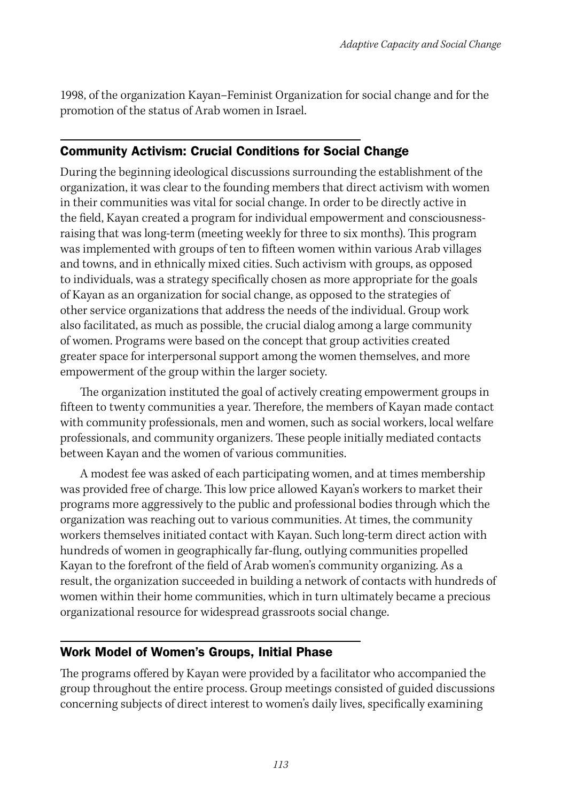1998, of the organization Kayan–Feminist Organization for social change and for the promotion of the status of Arab women in Israel.

#### Community Activism: Crucial Conditions for Social Change

During the beginning ideological discussions surrounding the establishment of the organization, it was clear to the founding members that direct activism with women in their communities was vital for social change. In order to be directly active in the field, Kayan created a program for individual empowerment and consciousnessraising that was long-term (meeting weekly for three to six months). This program was implemented with groups of ten to fifteen women within various Arab villages and towns, and in ethnically mixed cities. Such activism with groups, as opposed to individuals, was a strategy specifically chosen as more appropriate for the goals of Kayan as an organization for social change, as opposed to the strategies of other service organizations that address the needs of the individual. Group work also facilitated, as much as possible, the crucial dialog among a large community of women. Programs were based on the concept that group activities created greater space for interpersonal support among the women themselves, and more empowerment of the group within the larger society.

The organization instituted the goal of actively creating empowerment groups in fifteen to twenty communities a year. Therefore, the members of Kayan made contact with community professionals, men and women, such as social workers, local welfare professionals, and community organizers. These people initially mediated contacts between Kayan and the women of various communities.

A modest fee was asked of each participating women, and at times membership was provided free of charge. This low price allowed Kayan's workers to market their programs more aggressively to the public and professional bodies through which the organization was reaching out to various communities. At times, the community workers themselves initiated contact with Kayan. Such long-term direct action with hundreds of women in geographically far-flung, outlying communities propelled Kayan to the forefront of the field of Arab women's community organizing. As a result, the organization succeeded in building a network of contacts with hundreds of women within their home communities, which in turn ultimately became a precious organizational resource for widespread grassroots social change.

#### Work Model of Women's Groups, Initial Phase

The programs offered by Kayan were provided by a facilitator who accompanied the group throughout the entire process. Group meetings consisted of guided discussions concerning subjects of direct interest to women's daily lives, specifically examining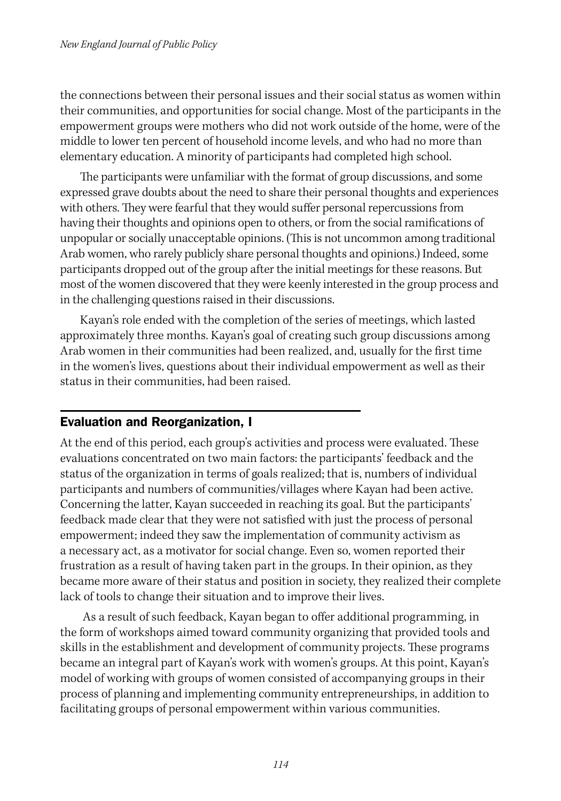the connections between their personal issues and their social status as women within their communities, and opportunities for social change. Most of the participants in the empowerment groups were mothers who did not work outside of the home, were of the middle to lower ten percent of household income levels, and who had no more than elementary education. A minority of participants had completed high school.

The participants were unfamiliar with the format of group discussions, and some expressed grave doubts about the need to share their personal thoughts and experiences with others. They were fearful that they would suffer personal repercussions from having their thoughts and opinions open to others, or from the social ramifications of unpopular or socially unacceptable opinions. (This is not uncommon among traditional Arab women, who rarely publicly share personal thoughts and opinions.) Indeed, some participants dropped out of the group after the initial meetings for these reasons. But most of the women discovered that they were keenly interested in the group process and in the challenging questions raised in their discussions.

Kayan's role ended with the completion of the series of meetings, which lasted approximately three months. Kayan's goal of creating such group discussions among Arab women in their communities had been realized, and, usually for the first time in the women's lives, questions about their individual empowerment as well as their status in their communities, had been raised.

#### Evaluation and Reorganization, I

At the end of this period, each group's activities and process were evaluated. These evaluations concentrated on two main factors: the participants' feedback and the status of the organization in terms of goals realized; that is, numbers of individual participants and numbers of communities/villages where Kayan had been active. Concerning the latter, Kayan succeeded in reaching its goal. But the participants' feedback made clear that they were not satisfied with just the process of personal empowerment; indeed they saw the implementation of community activism as a necessary act, as a motivator for social change. Even so, women reported their frustration as a result of having taken part in the groups. In their opinion, as they became more aware of their status and position in society, they realized their complete lack of tools to change their situation and to improve their lives.

 As a result of such feedback, Kayan began to offer additional programming, in the form of workshops aimed toward community organizing that provided tools and skills in the establishment and development of community projects. These programs became an integral part of Kayan's work with women's groups. At this point, Kayan's model of working with groups of women consisted of accompanying groups in their process of planning and implementing community entrepreneurships, in addition to facilitating groups of personal empowerment within various communities.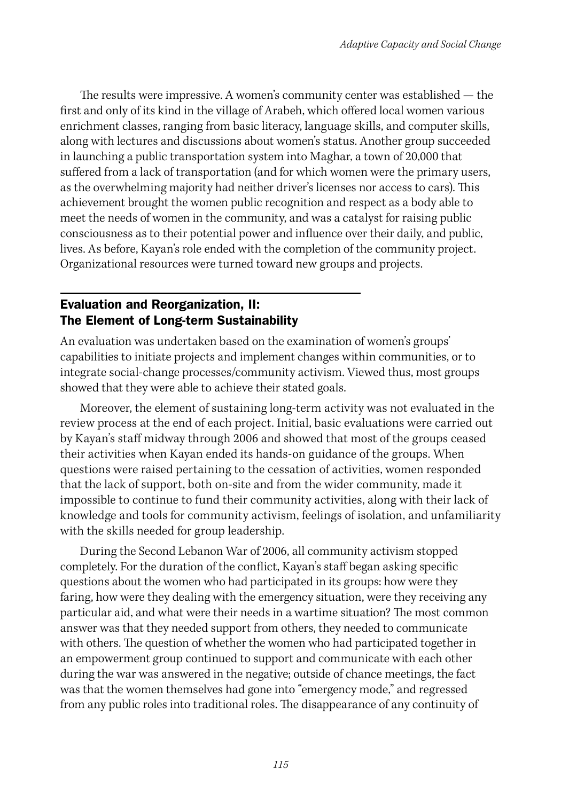The results were impressive. A women's community center was established — the first and only of its kind in the village of Arabeh, which offered local women various enrichment classes, ranging from basic literacy, language skills, and computer skills, along with lectures and discussions about women's status. Another group succeeded in launching a public transportation system into Maghar, a town of 20,000 that suffered from a lack of transportation (and for which women were the primary users, as the overwhelming majority had neither driver's licenses nor access to cars). This achievement brought the women public recognition and respect as a body able to meet the needs of women in the community, and was a catalyst for raising public consciousness as to their potential power and influence over their daily, and public, lives. As before, Kayan's role ended with the completion of the community project. Organizational resources were turned toward new groups and projects.

#### Evaluation and Reorganization, II: The Element of Long-term Sustainability

An evaluation was undertaken based on the examination of women's groups' capabilities to initiate projects and implement changes within communities, or to integrate social-change processes/community activism. Viewed thus, most groups showed that they were able to achieve their stated goals.

Moreover, the element of sustaining long-term activity was not evaluated in the review process at the end of each project. Initial, basic evaluations were carried out by Kayan's staff midway through 2006 and showed that most of the groups ceased their activities when Kayan ended its hands-on guidance of the groups. When questions were raised pertaining to the cessation of activities, women responded that the lack of support, both on-site and from the wider community, made it impossible to continue to fund their community activities, along with their lack of knowledge and tools for community activism, feelings of isolation, and unfamiliarity with the skills needed for group leadership.

During the Second Lebanon War of 2006, all community activism stopped completely. For the duration of the conflict, Kayan's staff began asking specific questions about the women who had participated in its groups: how were they faring, how were they dealing with the emergency situation, were they receiving any particular aid, and what were their needs in a wartime situation? The most common answer was that they needed support from others, they needed to communicate with others. The question of whether the women who had participated together in an empowerment group continued to support and communicate with each other during the war was answered in the negative; outside of chance meetings, the fact was that the women themselves had gone into "emergency mode," and regressed from any public roles into traditional roles. The disappearance of any continuity of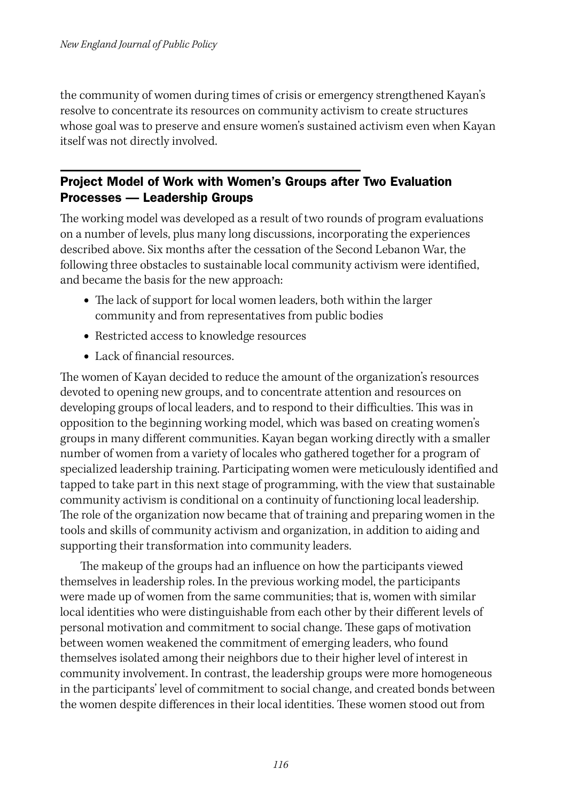the community of women during times of crisis or emergency strengthened Kayan's resolve to concentrate its resources on community activism to create structures whose goal was to preserve and ensure women's sustained activism even when Kayan itself was not directly involved.

#### Project Model of Work with Women's Groups after Two Evaluation Processes — Leadership Groups

The working model was developed as a result of two rounds of program evaluations on a number of levels, plus many long discussions, incorporating the experiences described above. Six months after the cessation of the Second Lebanon War, the following three obstacles to sustainable local community activism were identified, and became the basis for the new approach:

- **•** The lack of support for local women leaders, both within the larger community and from representatives from public bodies
- **•** Restricted access to knowledge resources
- **•** Lack of financial resources.

The women of Kayan decided to reduce the amount of the organization's resources devoted to opening new groups, and to concentrate attention and resources on developing groups of local leaders, and to respond to their difficulties. This was in opposition to the beginning working model, which was based on creating women's groups in many different communities. Kayan began working directly with a smaller number of women from a variety of locales who gathered together for a program of specialized leadership training. Participating women were meticulously identified and tapped to take part in this next stage of programming, with the view that sustainable community activism is conditional on a continuity of functioning local leadership. The role of the organization now became that of training and preparing women in the tools and skills of community activism and organization, in addition to aiding and supporting their transformation into community leaders.

The makeup of the groups had an influence on how the participants viewed themselves in leadership roles. In the previous working model, the participants were made up of women from the same communities; that is, women with similar local identities who were distinguishable from each other by their different levels of personal motivation and commitment to social change. These gaps of motivation between women weakened the commitment of emerging leaders, who found themselves isolated among their neighbors due to their higher level of interest in community involvement. In contrast, the leadership groups were more homogeneous in the participants' level of commitment to social change, and created bonds between the women despite differences in their local identities. These women stood out from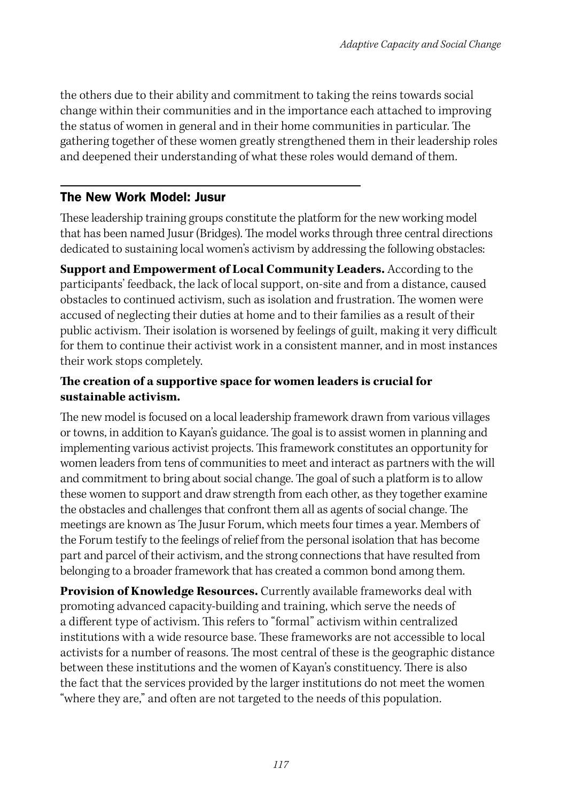the others due to their ability and commitment to taking the reins towards social change within their communities and in the importance each attached to improving the status of women in general and in their home communities in particular. The gathering together of these women greatly strengthened them in their leadership roles and deepened their understanding of what these roles would demand of them.

#### The New Work Model: Jusur

These leadership training groups constitute the platform for the new working model that has been named Jusur (Bridges). The model works through three central directions dedicated to sustaining local women's activism by addressing the following obstacles:

**Support and Empowerment of Local Community Leaders.** According to the participants' feedback, the lack of local support, on-site and from a distance, caused obstacles to continued activism, such as isolation and frustration. The women were accused of neglecting their duties at home and to their families as a result of their public activism. Their isolation is worsened by feelings of guilt, making it very difficult for them to continue their activist work in a consistent manner, and in most instances their work stops completely.

#### **The creation of a supportive space for women leaders is crucial for sustainable activism.**

The new model is focused on a local leadership framework drawn from various villages or towns, in addition to Kayan's guidance. The goal is to assist women in planning and implementing various activist projects. This framework constitutes an opportunity for women leaders from tens of communities to meet and interact as partners with the will and commitment to bring about social change. The goal of such a platform is to allow these women to support and draw strength from each other, as they together examine the obstacles and challenges that confront them all as agents of social change. The meetings are known as The Jusur Forum, which meets four times a year. Members of the Forum testify to the feelings of relief from the personal isolation that has become part and parcel of their activism, and the strong connections that have resulted from belonging to a broader framework that has created a common bond among them.

**Provision of Knowledge Resources.** Currently available frameworks deal with promoting advanced capacity-building and training, which serve the needs of a different type of activism. This refers to "formal" activism within centralized institutions with a wide resource base. These frameworks are not accessible to local activists for a number of reasons. The most central of these is the geographic distance between these institutions and the women of Kayan's constituency. There is also the fact that the services provided by the larger institutions do not meet the women "where they are," and often are not targeted to the needs of this population.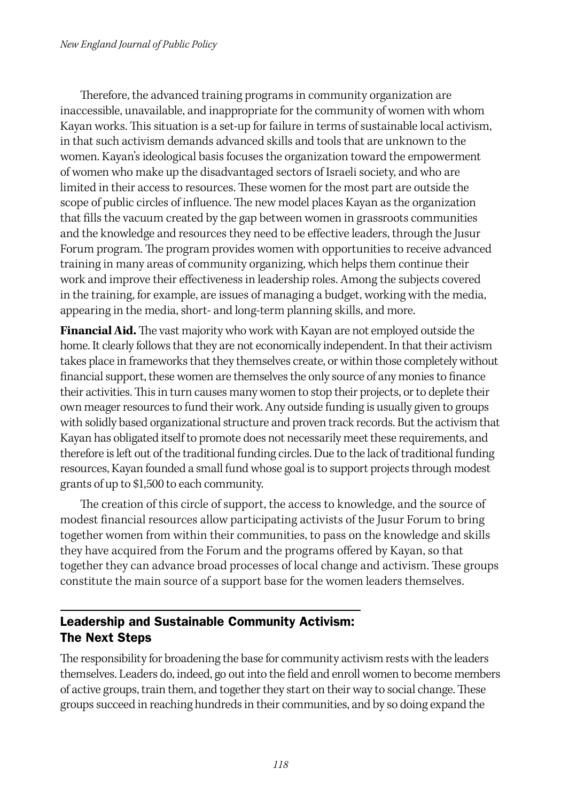Therefore, the advanced training programs in community organization are inaccessible, unavailable, and inappropriate for the community of women with whom Kayan works. This situation is a set-up for failure in terms of sustainable local activism, in that such activism demands advanced skills and tools that are unknown to the women. Kayan's ideological basis focuses the organization toward the empowerment of women who make up the disadvantaged sectors of Israeli society, and who are limited in their access to resources. These women for the most part are outside the scope of public circles of influence. The new model places Kayan as the organization that fills the vacuum created by the gap between women in grassroots communities and the knowledge and resources they need to be effective leaders, through the Jusur Forum program. The program provides women with opportunities to receive advanced training in many areas of community organizing, which helps them continue their work and improve their effectiveness in leadership roles. Among the subjects covered in the training, for example, are issues of managing a budget, working with the media, appearing in the media, short- and long-term planning skills, and more.

**Financial Aid.** The vast majority who work with Kayan are not employed outside the home. It clearly follows that they are not economically independent. In that their activism takes place in frameworks that they themselves create, or within those completely without financial support, these women are themselves the only source of any monies to finance their activities. This in turn causes many women to stop their projects, or to deplete their own meager resources to fund their work. Any outside funding is usually given to groups with solidly based organizational structure and proven track records. But the activism that Kayan has obligated itself to promote does not necessarily meet these requirements, and therefore is left out of the traditional funding circles. Due to the lack of traditional funding resources, Kayan founded a small fund whose goal is to support projects through modest grants of up to \$1,500 to each community.

The creation of this circle of support, the access to knowledge, and the source of modest financial resources allow participating activists of the Jusur Forum to bring together women from within their communities, to pass on the knowledge and skills they have acquired from the Forum and the programs offered by Kayan, so that together they can advance broad processes of local change and activism. These groups constitute the main source of a support base for the women leaders themselves.

#### Leadership and Sustainable Community Activism: The Next Steps

The responsibility for broadening the base for community activism rests with the leaders themselves. Leaders do, indeed, go out into the field and enroll women to become members of active groups, train them, and together they start on their way to social change. These groups succeed in reaching hundreds in their communities, and by so doing expand the